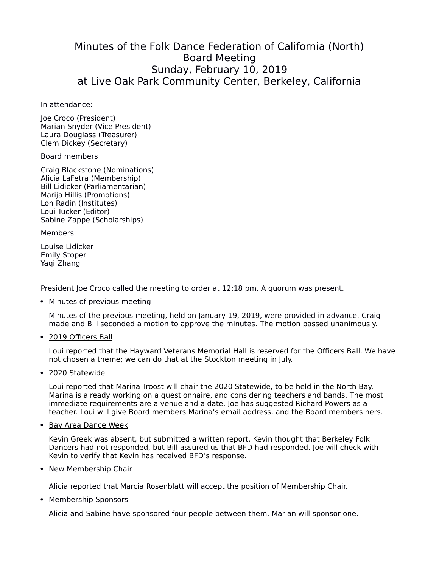## Minutes of the Folk Dance Federation of California (North) Board Meeting Sunday, February 10, 2019 at Live Oak Park Community Center, Berkeley, California

In attendance:

Joe Croco (President) Marian Snyder (Vice President) Laura Douglass (Treasurer) Clem Dickey (Secretary)

Board members

Craig Blackstone (Nominations) Alicia LaFetra (Membership) Bill Lidicker (Parliamentarian) Marija Hillis (Promotions) Lon Radin (Institutes) Loui Tucker (Editor) Sabine Zappe (Scholarships)

**Members** 

Louise Lidicker Emily Stoper Yaqi Zhang

President Joe Croco called the meeting to order at 12:18 pm. A quorum was present.

• Minutes of previous meeting

Minutes of the previous meeting, held on January 19, 2019, were provided in advance. Craig made and Bill seconded a motion to approve the minutes. The motion passed unanimously.

2019 Officers Ball

Loui reported that the Hayward Veterans Memorial Hall is reserved for the Officers Ball. We have not chosen a theme; we can do that at the Stockton meeting in July.

2020 Statewide

Loui reported that Marina Troost will chair the 2020 Statewide, to be held in the North Bay. Marina is already working on a questionnaire, and considering teachers and bands. The most immediate requirements are a venue and a date. Joe has suggested Richard Powers as a teacher. Loui will give Board members Marina's email address, and the Board members hers.

• Bay Area Dance Week

Kevin Greek was absent, but submitted a written report. Kevin thought that Berkeley Folk Dancers had not responded, but Bill assured us that BFD had responded. Joe will check with Kevin to verify that Kevin has received BFD's response.

• New Membership Chair

Alicia reported that Marcia Rosenblatt will accept the position of Membership Chair.

• Membership Sponsors

Alicia and Sabine have sponsored four people between them. Marian will sponsor one.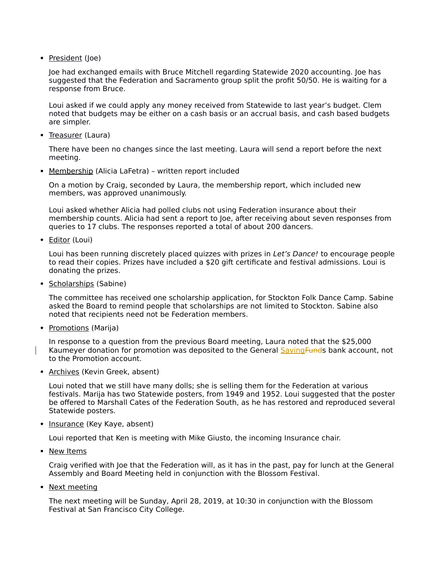• President (Joe)

Joe had exchanged emails with Bruce Mitchell regarding Statewide 2020 accounting. Joe has suggested that the Federation and Sacramento group split the profit 50/50. He is waiting for a response from Bruce.

Loui asked if we could apply any money received from Statewide to last year's budget. Clem noted that budgets may be either on a cash basis or an accrual basis, and cash based budgets are simpler.

• Treasurer (Laura)

There have been no changes since the last meeting. Laura will send a report before the next meeting.

Membership (Alicia LaFetra) – written report included

On a motion by Craig, seconded by Laura, the membership report, which included new members, was approved unanimously.

Loui asked whether Alicia had polled clubs not using Federation insurance about their membership counts. Alicia had sent a report to Joe, after receiving about seven responses from queries to 17 clubs. The responses reported a total of about 200 dancers.

• Editor (Loui)

Loui has been running discretely placed quizzes with prizes in Let's Dance! to encourage people to read their copies. Prizes have included a \$20 gift certificate and festival admissions. Loui is donating the prizes.

• Scholarships (Sabine)

The committee has received one scholarship application, for Stockton Folk Dance Camp. Sabine asked the Board to remind people that scholarships are not limited to Stockton. Sabine also noted that recipients need not be Federation members.

• Promotions (Marija)

In response to a question from the previous Board meeting, Laura noted that the \$25,000 Kaumeyer donation for promotion was deposited to the General Saving Funds bank account, not to the Promotion account.

• Archives (Kevin Greek, absent)

Loui noted that we still have many dolls; she is selling them for the Federation at various festivals. Marija has two Statewide posters, from 1949 and 1952. Loui suggested that the poster be offered to Marshall Cates of the Federation South, as he has restored and reproduced several Statewide posters.

• Insurance (Key Kaye, absent)

Loui reported that Ken is meeting with Mike Giusto, the incoming Insurance chair.

• New Items

Craig verified with Joe that the Federation will, as it has in the past, pay for lunch at the General Assembly and Board Meeting held in conjunction with the Blossom Festival.

• Next meeting

The next meeting will be Sunday, April 28, 2019, at 10:30 in conjunction with the Blossom Festival at San Francisco City College.